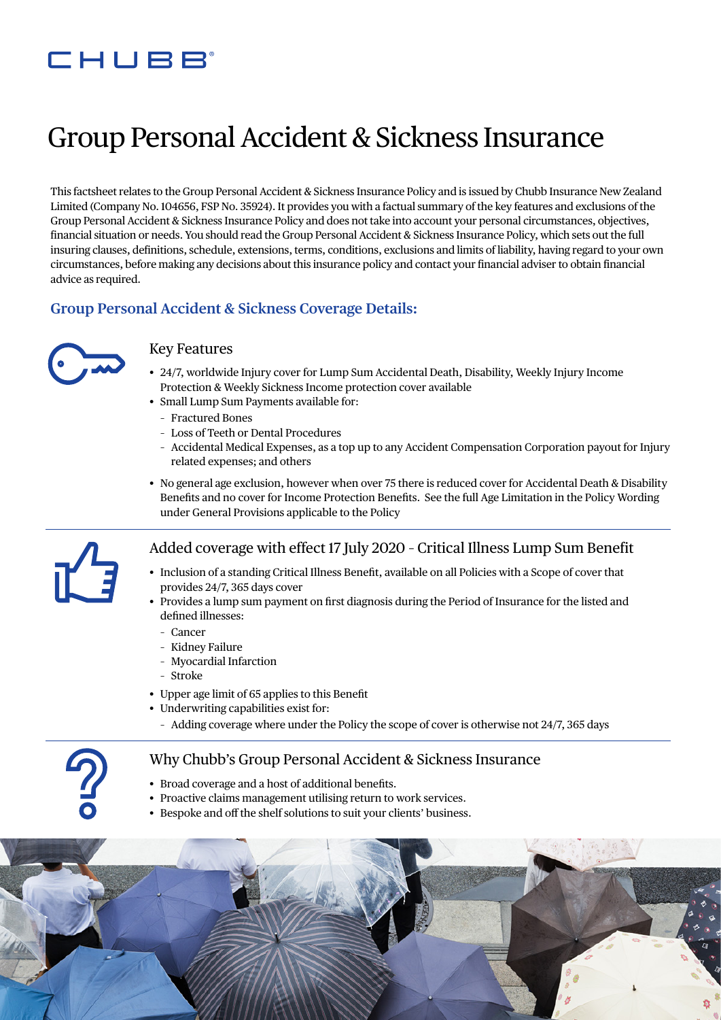## CHUBB

# Group Personal Accident & Sickness Insurance

This factsheet relates to the Group Personal Accident & Sickness Insurance Policy and is issued by Chubb Insurance New Zealand Limited (Company No. 104656, FSP No. 35924). It provides you with a factual summary of the key features and exclusions of the Group Personal Accident & Sickness Insurance Policy and does not take into account your personal circumstances, objectives, financial situation or needs. You should read the Group Personal Accident & Sickness Insurance Policy, which sets out the full insuring clauses, definitions, schedule, extensions, terms, conditions, exclusions and limits of liability, having regard to your own circumstances, before making any decisions about this insurance policy and contact your financial adviser to obtain financial advice as required.

#### **Group Personal Accident & Sickness Coverage Details:**



#### Key Features

- 24/7, worldwide Injury cover for Lump Sum Accidental Death, Disability, Weekly Injury Income Protection & Weekly Sickness Income protection cover available
- Small Lump Sum Payments available for:
	- Fractured Bones
	- Loss of Teeth or Dental Procedures
	- Accidental Medical Expenses, as a top up to any Accident Compensation Corporation payout for Injury related expenses; and others
- No general age exclusion, however when over 75 there is reduced cover for Accidental Death & Disability Benefits and no cover for Income Protection Benefits. See the full Age Limitation in the Policy Wording under General Provisions applicable to the Policy



#### Added coverage with effect 17 July 2020 – Critical Illness Lump Sum Benefit

- Inclusion of a standing Critical Illness Benefit, available on all Policies with a Scope of cover that provides 24/7, 365 days cover
- Provides a lump sum payment on first diagnosis during the Period of Insurance for the listed and defined illnesses:
	- Cancer
	- Kidney Failure
	- Myocardial Infarction
	- Stroke
- Upper age limit of 65 applies to this Benefit
- Underwriting capabilities exist for:
	- Adding coverage where under the Policy the scope of cover is otherwise not 24/7, 365 days

#### Why Chubb's Group Personal Accident & Sickness Insurance

- Broad coverage and a host of additional benefits.
- Proactive claims management utilising return to work services.
- Bespoke and off the shelf solutions to suit your clients' business.